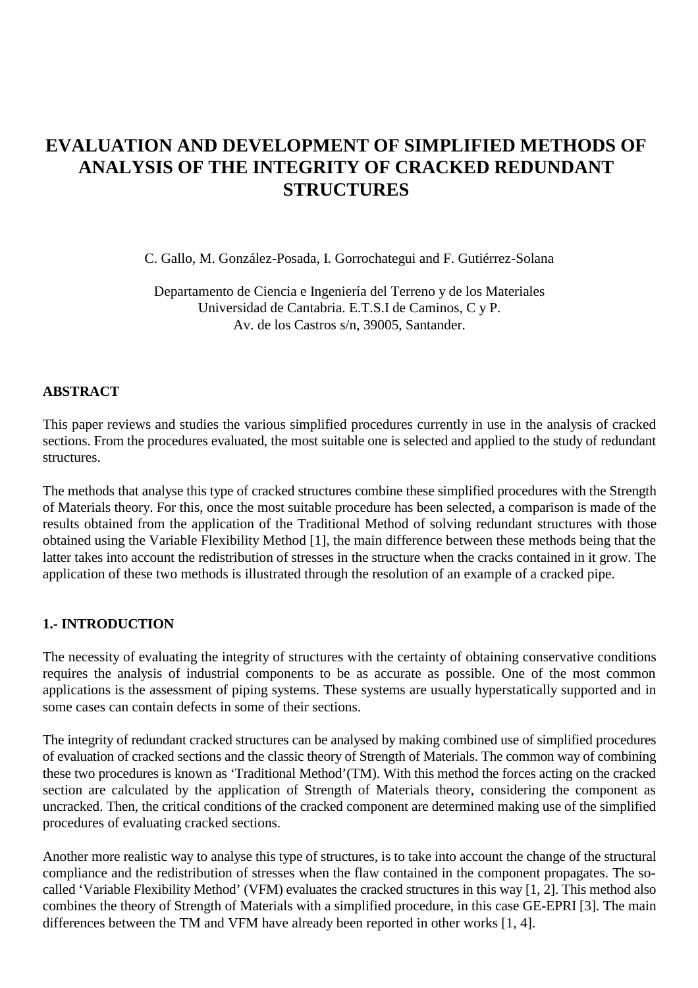# **EVALUATION AND DEVELOPMENT OF SIMPLIFIED METHODS OF ANALYSIS OF THE INTEGRITY OF CRACKED REDUNDANT STRUCTURES**

C. Gallo, M. González-Posada, I. Gorrochategui and F. Gutiérrez-Solana

Departamento de Ciencia e Ingeniería del Terreno y de los Materiales Universidad de Cantabria. E.T.S.I de Caminos, C y P. Av. de los Castros s/n, 39005, Santander.

#### **ABSTRACT**

This paper reviews and studies the various simplified procedures currently in use in the analysis of cracked sections. From the procedures evaluated, the most suitable one is selected and applied to the study of redundant structures.

The methods that analyse this type of cracked structures combine these simplified procedures with the Strength of Materials theory. For this, once the most suitable procedure has been selected, a comparison is made of the results obtained from the application of the Traditional Method of solving redundant structures with those obtained using the Variable Flexibility Method [1], the main difference between these methods being that the latter takes into account the redistribution of stresses in the structure when the cracks contained in it grow. The application of these two methods is illustrated through the resolution of an example of a cracked pipe.

#### **1.- INTRODUCTION**

The necessity of evaluating the integrity of structures with the certainty of obtaining conservative conditions requires the analysis of industrial components to be as accurate as possible. One of the most common applications is the assessment of piping systems. These systems are usually hyperstatically supported and in some cases can contain defects in some of their sections.

The integrity of redundant cracked structures can be analysed by making combined use of simplified procedures of evaluation of cracked sections and the classic theory of Strength of Materials. The common way of combining these two procedures is known as 'Traditional Method'(TM). With this method the forces acting on the cracked section are calculated by the application of Strength of Materials theory, considering the component as uncracked. Then, the critical conditions of the cracked component are determined making use of the simplified procedures of evaluating cracked sections.

Another more realistic way to analyse this type of structures, is to take into account the change of the structural compliance and the redistribution of stresses when the flaw contained in the component propagates. The socalled 'Variable Flexibility Method' (VFM) evaluates the cracked structures in this way [1, 2]. This method also combines the theory of Strength of Materials with a simplified procedure, in this case GE-EPRI [3]. The main differences between the TM and VFM have already been reported in other works [1, 4].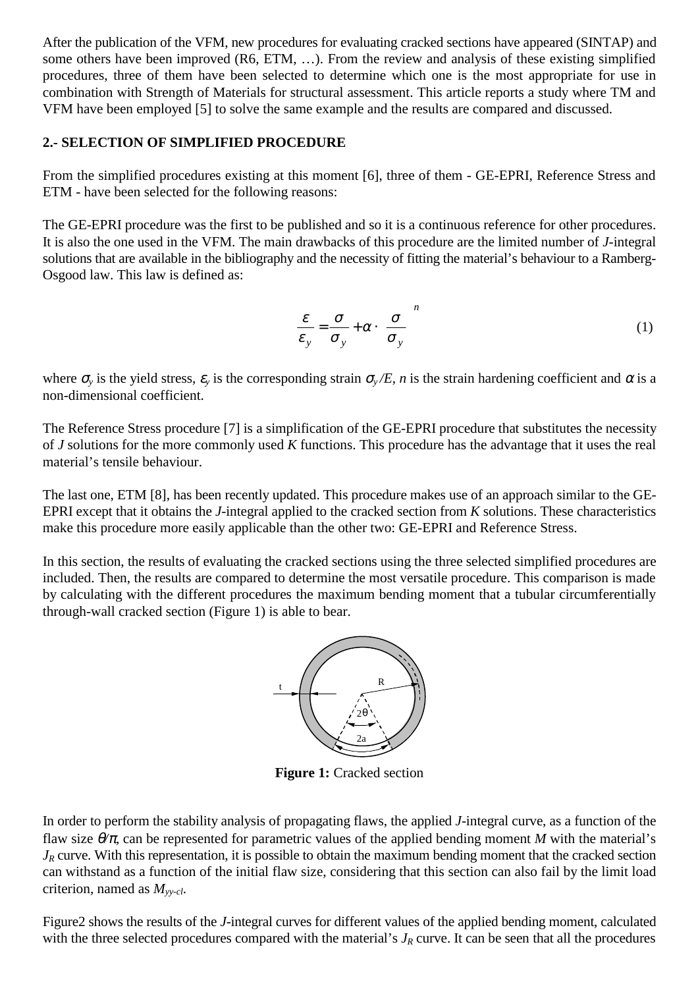After the publication of the VFM, new procedures for evaluating cracked sections have appeared (SINTAP) and some others have been improved (R6, ETM, …). From the review and analysis of these existing simplified procedures, three of them have been selected to determine which one is the most appropriate for use in combination with Strength of Materials for structural assessment. This article reports a study where TM and VFM have been employed [5] to solve the same example and the results are compared and discussed.

#### **2.- SELECTION OF SIMPLIFIED PROCEDURE**

From the simplified procedures existing at this moment [6], three of them - GE-EPRI, Reference Stress and ETM - have been selected for the following reasons:

The GE-EPRI procedure was the first to be published and so it is a continuous reference for other procedures. It is also the one used in the VFM. The main drawbacks of this procedure are the limited number of *J*-integral solutions that are available in the bibliography and the necessity of fitting the material's behaviour to a Ramberg-Osgood law. This law is defined as:

$$
\frac{\varepsilon}{\varepsilon_y} = \frac{\sigma}{\sigma_y} + \alpha \cdot \left(\frac{\sigma}{\sigma_y}\right)^n \tag{1}
$$

where  $\sigma_y$  is the yield stress,  $\varepsilon_y$  is the corresponding strain  $\sigma_y/E$ , *n* is the strain hardening coefficient and  $\alpha$  is a non-dimensional coefficient.

The Reference Stress procedure [7] is a simplification of the GE-EPRI procedure that substitutes the necessity of *J* solutions for the more commonly used *K* functions. This procedure has the advantage that it uses the real material's tensile behaviour.

The last one, ETM [8], has been recently updated. This procedure makes use of an approach similar to the GE-EPRI except that it obtains the *J*-integral applied to the cracked section from *K* solutions. These characteristics make this procedure more easily applicable than the other two: GE-EPRI and Reference Stress.

In this section, the results of evaluating the cracked sections using the three selected simplified procedures are included. Then, the results are compared to determine the most versatile procedure. This comparison is made by calculating with the different procedures the maximum bending moment that a tubular circumferentially through-wall cracked section (Figure 1) is able to bear.



**Figure 1:** Cracked section

In order to perform the stability analysis of propagating flaws, the applied *J*-integral curve, as a function of the flaw size θ*/*π, can be represented for parametric values of the applied bending moment *M* with the material's *J<sub>R</sub>* curve. With this representation, it is possible to obtain the maximum bending moment that the cracked section can withstand as a function of the initial flaw size, considering that this section can also fail by the limit load criterion, named as *Myy-cl*.

Figure2 shows the results of the *J*-integral curves for different values of the applied bending moment, calculated with the three selected procedures compared with the material's  $J_R$  curve. It can be seen that all the procedures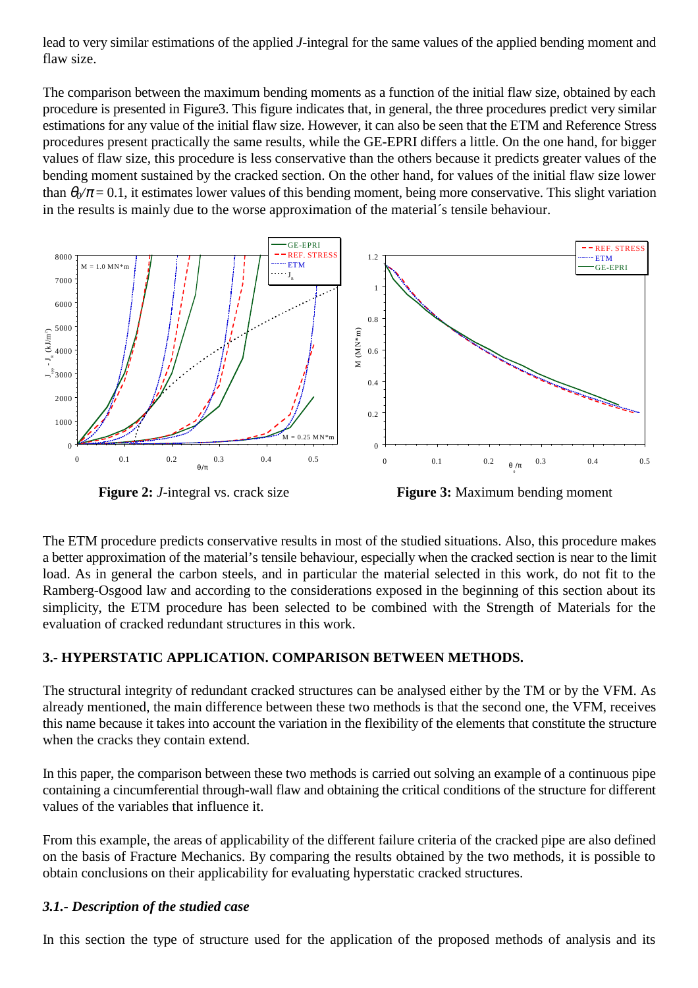lead to very similar estimations of the applied *J*-integral for the same values of the applied bending moment and flaw size.

The comparison between the maximum bending moments as a function of the initial flaw size, obtained by each procedure is presented in Figure3. This figure indicates that, in general, the three procedures predict very similar estimations for any value of the initial flaw size. However, it can also be seen that the ETM and Reference Stress procedures present practically the same results, while the GE-EPRI differs a little. On the one hand, for bigger values of flaw size, this procedure is less conservative than the others because it predicts greater values of the bending moment sustained by the cracked section. On the other hand, for values of the initial flaw size lower than  $\theta_0/\pi$  = 0.1, it estimates lower values of this bending moment, being more conservative. This slight variation in the results is mainly due to the worse approximation of the material´s tensile behaviour.



**Figure 2:** *J*-integral vs. crack size

**Figure 3:** Maximum bending moment

The ETM procedure predicts conservative results in most of the studied situations. Also, this procedure makes a better approximation of the material's tensile behaviour, especially when the cracked section is near to the limit load. As in general the carbon steels, and in particular the material selected in this work, do not fit to the Ramberg-Osgood law and according to the considerations exposed in the beginning of this section about its simplicity, the ETM procedure has been selected to be combined with the Strength of Materials for the evaluation of cracked redundant structures in this work.

## **3.- HYPERSTATIC APPLICATION. COMPARISON BETWEEN METHODS.**

The structural integrity of redundant cracked structures can be analysed either by the TM or by the VFM. As already mentioned, the main difference between these two methods is that the second one, the VFM, receives this name because it takes into account the variation in the flexibility of the elements that constitute the structure when the cracks they contain extend.

In this paper, the comparison between these two methods is carried out solving an example of a continuous pipe containing a cincumferential through-wall flaw and obtaining the critical conditions of the structure for different values of the variables that influence it.

From this example, the areas of applicability of the different failure criteria of the cracked pipe are also defined on the basis of Fracture Mechanics. By comparing the results obtained by the two methods, it is possible to obtain conclusions on their applicability for evaluating hyperstatic cracked structures.

## *3.1.- Description of the studied case*

In this section the type of structure used for the application of the proposed methods of analysis and its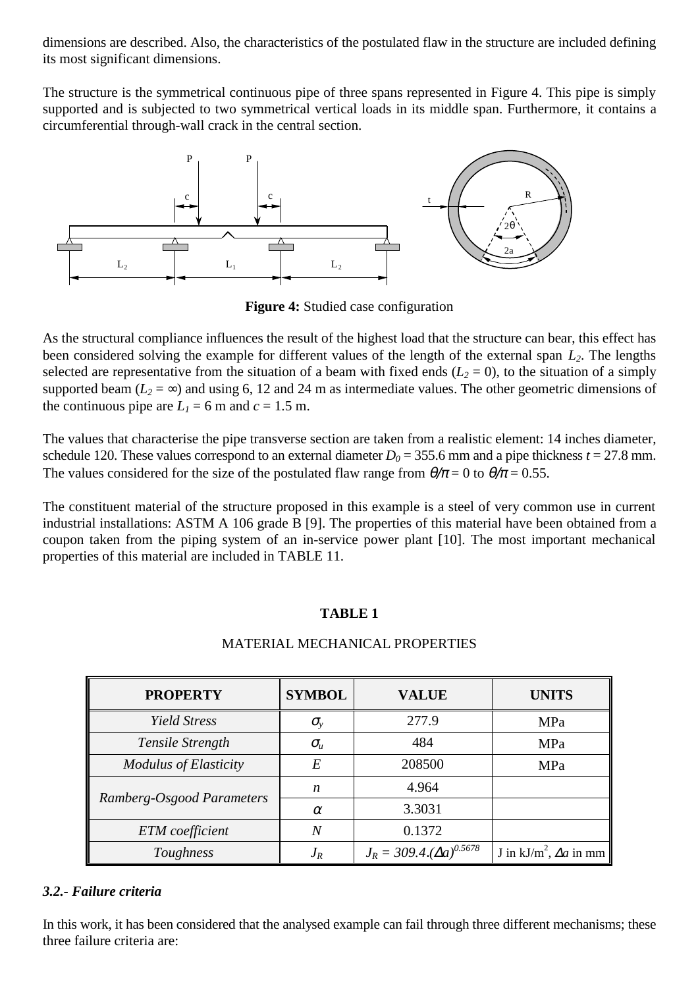dimensions are described. Also, the characteristics of the postulated flaw in the structure are included defining its most significant dimensions.

The structure is the symmetrical continuous pipe of three spans represented in Figure 4. This pipe is simply supported and is subjected to two symmetrical vertical loads in its middle span. Furthermore, it contains a circumferential through-wall crack in the central section.



**Figure 4:** Studied case configuration

As the structural compliance influences the result of the highest load that the structure can bear, this effect has been considered solving the example for different values of the length of the external span  $L_2$ . The lengths selected are representative from the situation of a beam with fixed ends  $(L_2 = 0)$ , to the situation of a simply supported beam ( $L_2 = \infty$ ) and using 6, 12 and 24 m as intermediate values. The other geometric dimensions of the continuous pipe are  $L_1 = 6$  m and  $c = 1.5$  m.

The values that characterise the pipe transverse section are taken from a realistic element: 14 inches diameter, schedule 120. These values correspond to an external diameter  $D_0 = 355.6$  mm and a pipe thickness  $t = 27.8$  mm. The values considered for the size of the postulated flaw range from  $\theta/\pi = 0$  to  $\theta/\pi = 0.55$ .

The constituent material of the structure proposed in this example is a steel of very common use in current industrial installations: ASTM A 106 grade B [9]. The properties of this material have been obtained from a coupon taken from the piping system of an in-service power plant [10]. The most important mechanical properties of this material are included in TABLE 11.

## **TABLE 1**

# MATERIAL MECHANICAL PROPERTIES

| <b>PROPERTY</b>              | <b>SYMBOL</b>  | <b>VALUE</b>                      | <b>UNITS</b>                     |
|------------------------------|----------------|-----------------------------------|----------------------------------|
| <b>Yield Stress</b>          | $\sigma_{v}$   | 277.9                             | <b>MPa</b>                       |
| Tensile Strength             | $\sigma_{\mu}$ | 484                               | <b>MPa</b>                       |
| <b>Modulus of Elasticity</b> | E              | 208500                            | <b>MPa</b>                       |
| Ramberg-Osgood Parameters    | n              | 4.964                             |                                  |
|                              | $\alpha$       | 3.3031                            |                                  |
| <b>ETM</b> coefficient       | Ν              | 0.1372                            |                                  |
| Toughness                    | $J_R$          | $J_R = 309.4.(\Delta a)^{0.5678}$ | J in $kJ/m^2$ , $\Delta a$ in mm |

## *3.2.- Failure criteria*

In this work, it has been considered that the analysed example can fail through three different mechanisms; these three failure criteria are: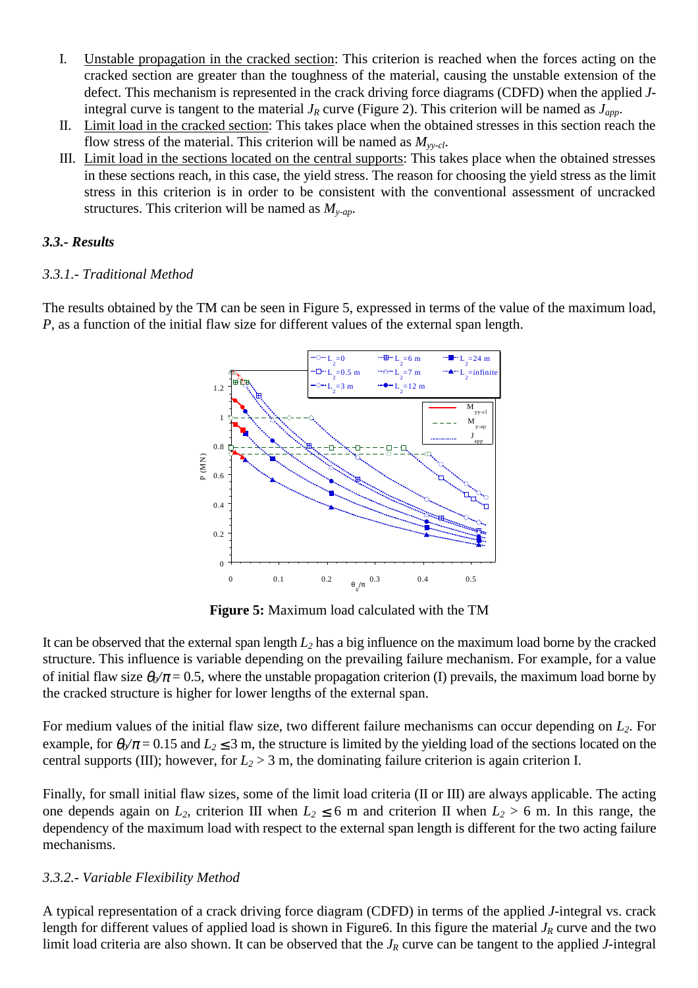- I. Unstable propagation in the cracked section: This criterion is reached when the forces acting on the cracked section are greater than the toughness of the material, causing the unstable extension of the defect. This mechanism is represented in the crack driving force diagrams (CDFD) when the applied *J*integral curve is tangent to the material  $J_R$  curve (Figure 2). This criterion will be named as  $J_{app}$ .
- II. Limit load in the cracked section: This takes place when the obtained stresses in this section reach the flow stress of the material. This criterion will be named as *Myy-cl*.
- III. Limit load in the sections located on the central supports: This takes place when the obtained stresses in these sections reach, in this case, the yield stress. The reason for choosing the yield stress as the limit stress in this criterion is in order to be consistent with the conventional assessment of uncracked structures. This criterion will be named as  $M_{y-ap}$ .

#### *3.3.- Results*

## *3.3.1.- Traditional Method*

The results obtained by the TM can be seen in Figure 5, expressed in terms of the value of the maximum load, *P*, as a function of the initial flaw size for different values of the external span length.



**Figure 5:** Maximum load calculated with the TM

It can be observed that the external span length *L2* has a big influence on the maximum load borne by the cracked structure. This influence is variable depending on the prevailing failure mechanism. For example, for a value of initial flaw size  $\theta_0/\pi$  = 0.5, where the unstable propagation criterion (I) prevails, the maximum load borne by the cracked structure is higher for lower lengths of the external span.

For medium values of the initial flaw size, two different failure mechanisms can occur depending on *L2*. For example, for  $\theta_0/\pi$  = 0.15 and  $L_2 \le 3$  m, the structure is limited by the yielding load of the sections located on the central supports (III); however, for  $L_2 > 3$  m, the dominating failure criterion is again criterion I.

Finally, for small initial flaw sizes, some of the limit load criteria (II or III) are always applicable. The acting one depends again on  $L_2$ , criterion III when  $L_2 \le 6$  m and criterion II when  $L_2 > 6$  m. In this range, the dependency of the maximum load with respect to the external span length is different for the two acting failure mechanisms.

## *3.3.2.- Variable Flexibility Method*

A typical representation of a crack driving force diagram (CDFD) in terms of the applied *J*-integral vs. crack length for different values of applied load is shown in Figure6. In this figure the material  $J_R$  curve and the two limit load criteria are also shown. It can be observed that the *J<sub>R</sub>* curve can be tangent to the applied *J*-integral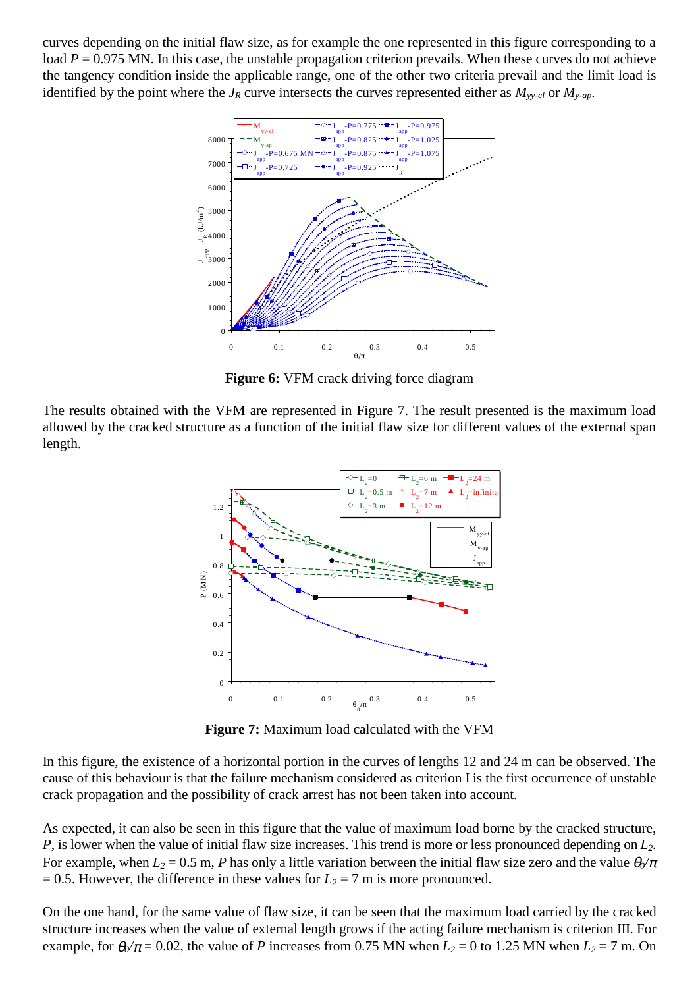curves depending on the initial flaw size, as for example the one represented in this figure corresponding to a load *P* = 0.975 MN. In this case, the unstable propagation criterion prevails. When these curves do not achieve the tangency condition inside the applicable range, one of the other two criteria prevail and the limit load is identified by the point where the  $J_R$  curve intersects the curves represented either as  $M_{\text{v}-cl}$  or  $M_{\text{v}-ap}$ .



**Figure 6:** VFM crack driving force diagram

The results obtained with the VFM are represented in Figure 7. The result presented is the maximum load allowed by the cracked structure as a function of the initial flaw size for different values of the external span length.



**Figure 7:** Maximum load calculated with the VFM

In this figure, the existence of a horizontal portion in the curves of lengths 12 and 24 m can be observed. The cause of this behaviour is that the failure mechanism considered as criterion I is the first occurrence of unstable crack propagation and the possibility of crack arrest has not been taken into account.

As expected, it can also be seen in this figure that the value of maximum load borne by the cracked structure, *P*, is lower when the value of initial flaw size increases. This trend is more or less pronounced depending on *L2*. For example, when  $L_2 = 0.5$  m, *P* has only a little variation between the initial flaw size zero and the value  $\theta_0/\pi$  $= 0.5$ . However, the difference in these values for  $L_2 = 7$  m is more pronounced.

On the one hand, for the same value of flaw size, it can be seen that the maximum load carried by the cracked structure increases when the value of external length grows if the acting failure mechanism is criterion III. For example, for  $\theta_0/\pi = 0.02$ , the value of *P* increases from 0.75 MN when  $L_2 = 0$  to 1.25 MN when  $L_2 = 7$  m. On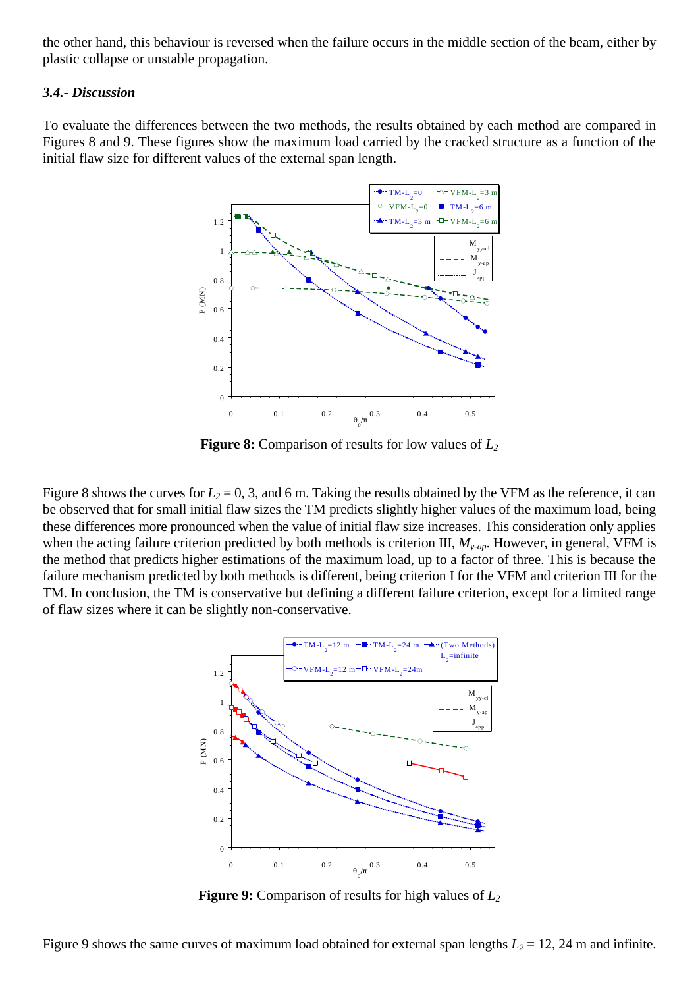the other hand, this behaviour is reversed when the failure occurs in the middle section of the beam, either by plastic collapse or unstable propagation.

#### *3.4.- Discussion*

To evaluate the differences between the two methods, the results obtained by each method are compared in Figures 8 and 9. These figures show the maximum load carried by the cracked structure as a function of the initial flaw size for different values of the external span length.



**Figure 8:** Comparison of results for low values of *L2*

Figure 8 shows the curves for  $L_2 = 0$ , 3, and 6 m. Taking the results obtained by the VFM as the reference, it can be observed that for small initial flaw sizes the TM predicts slightly higher values of the maximum load, being these differences more pronounced when the value of initial flaw size increases. This consideration only applies when the acting failure criterion predicted by both methods is criterion III, *My-ap*. However, in general, VFM is the method that predicts higher estimations of the maximum load, up to a factor of three. This is because the failure mechanism predicted by both methods is different, being criterion I for the VFM and criterion III for the TM. In conclusion, the TM is conservative but defining a different failure criterion, except for a limited range of flaw sizes where it can be slightly non-conservative.



**Figure 9:** Comparison of results for high values of  $L_2$ 

Figure 9 shows the same curves of maximum load obtained for external span lengths  $L_2 = 12$ , 24 m and infinite.